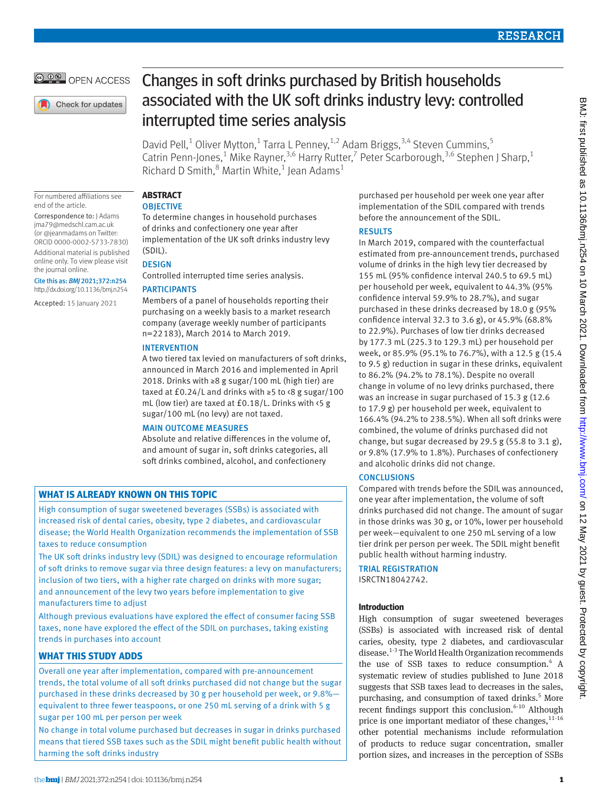# **RESEARCH**



Check for updates

# Changes in soft drinks purchased by British households associated with the UK soft drinks industry levy: controlled interrupted time series analysis

David Pell,<sup>1</sup> Oliver Mytton,<sup>1</sup> Tarra L Penney,<sup>1,2</sup> Adam Briggs,<sup>3,4</sup> Steven Cummins,<sup>5</sup> Catrin Penn-Jones,<sup>1</sup> Mike Rayner,<sup>3,6</sup> Harry Rutter,<sup>7</sup> Peter Scarborough,<sup>3,6</sup> Stephen J Sharp,<sup>1</sup> Richard D Smith, $^8$  Martin White,<sup>1</sup> Jean Adams<sup>1</sup>

For numbered affiliations see end of the article.

Correspondence to: J Adams [jma79@medschl.cam.ac.uk](mailto:jma79@medschl.cam.ac.uk) (or [@jeanmadams](https://twitter.com/jeanmadams?lang=en) on Twitter: ORCID [0000-0002-5733-7830\)](https://orcid.org/0000-0002-5733-7830) Additional material is published online only. To view please visit the journal online.

Cite this as: *BMJ* 2021;372:n254 http://dx.doi.org/10.1136/bmj.n254

Accepted: 15 January 2021

# **ABSTRACT**

**OBJECTIVE** 

To determine changes in household purchases of drinks and confectionery one year after implementation of the UK soft drinks industry levy (SDIL).

#### **DESIGN**

Controlled interrupted time series analysis.

# PARTICIPANTS

Members of a panel of households reporting their purchasing on a weekly basis to a market research company (average weekly number of participants n=22183), March 2014 to March 2019.

#### INTERVENTION

A two tiered tax levied on manufacturers of soft drinks, announced in March 2016 and implemented in April 2018. Drinks with ≥8 g sugar/100 mL (high tier) are taxed at £0.24/L and drinks with ≥5 to  $\frac{8 \text{ g sugar}}{100}$ mL (low tier) are taxed at £0.18/L. Drinks with <5 g sugar/100 mL (no levy) are not taxed.

# MAIN OUTCOME MEASURES

Absolute and relative differences in the volume of, and amount of sugar in, soft drinks categories, all soft drinks combined, alcohol, and confectionery

# **WHAT IS ALREADY KNOWN ON THIS TOPIC**

High consumption of sugar sweetened beverages (SSBs) is associated with increased risk of dental caries, obesity, type 2 diabetes, and cardiovascular disease; the World Health Organization recommends the implementation of SSB taxes to reduce consumption

The UK soft drinks industry levy (SDIL) was designed to encourage reformulation of soft drinks to remove sugar via three design features: a levy on manufacturers; inclusion of two tiers, with a higher rate charged on drinks with more sugar; and announcement of the levy two years before implementation to give manufacturers time to adjust

Although previous evaluations have explored the effect of consumer facing SSB taxes, none have explored the effect of the SDIL on purchases, taking existing trends in purchases into account

# **WHAT THIS STUDY ADDS**

Overall one year after implementation, compared with pre-announcement trends, the total volume of all soft drinks purchased did not change but the sugar purchased in these drinks decreased by 30 g per household per week, or 9.8%equivalent to three fewer teaspoons, or one 250 mL serving of a drink with 5 g sugar per 100 mL per person per week

No change in total volume purchased but decreases in sugar in drinks purchased means that tiered SSB taxes such as the SDIL might benefit public health without harming the soft drinks industry

purchased per household per week one year after implementation of the SDIL compared with trends before the announcement of the SDIL.

# RESULTS

In March 2019, compared with the counterfactual estimated from pre-announcement trends, purchased volume of drinks in the high levy tier decreased by 155 mL (95% confidence interval 240.5 to 69.5 mL) per household per week, equivalent to 44.3% (95% confidence interval 59.9% to 28.7%), and sugar purchased in these drinks decreased by 18.0 g (95% confidence interval 32.3 to 3.6 g), or 45.9% (68.8% to 22.9%). Purchases of low tier drinks decreased by 177.3 mL (225.3 to 129.3 mL) per household per week, or 85.9% (95.1% to 76.7%), with a 12.5 g (15.4 to 9.5 g) reduction in sugar in these drinks, equivalent to 86.2% (94.2% to 78.1%). Despite no overall change in volume of no levy drinks purchased, there was an increase in sugar purchased of 15.3 g (12.6 to 17.9 g) per household per week, equivalent to 166.4% (94.2% to 238.5%). When all soft drinks were combined, the volume of drinks purchased did not change, but sugar decreased by 29.5 g (55.8 to 3.1 g), or 9.8% (17.9% to 1.8%). Purchases of confectionery and alcoholic drinks did not change.

# **CONCLUSIONS**

Compared with trends before the SDIL was announced, one year after implementation, the volume of soft drinks purchased did not change. The amount of sugar in those drinks was 30 g, or 10%, lower per household per week—equivalent to one 250 mL serving of a low tier drink per person per week. The SDIL might benefit public health without harming industry.

TRIAL REGISTRATION ISRCTN18042742.

# **Introduction**

High consumption of sugar sweetened beverages (SSBs) is associated with increased risk of dental caries, obesity, type 2 diabetes, and cardiovascular disease.<sup>1-3</sup> The World Health Organization recommends the use of SSB taxes to reduce consumption.<sup>4</sup> A systematic review of studies published to June 2018 suggests that SSB taxes lead to decreases in the sales, purchasing, and consumption of taxed drinks.<sup>5</sup> More recent findings support this conclusion. $6-10$  Although price is one important mediator of these changes,  $11-16$ other potential mechanisms include reformulation of products to reduce sugar concentration, smaller portion sizes, and increases in the perception of SSBs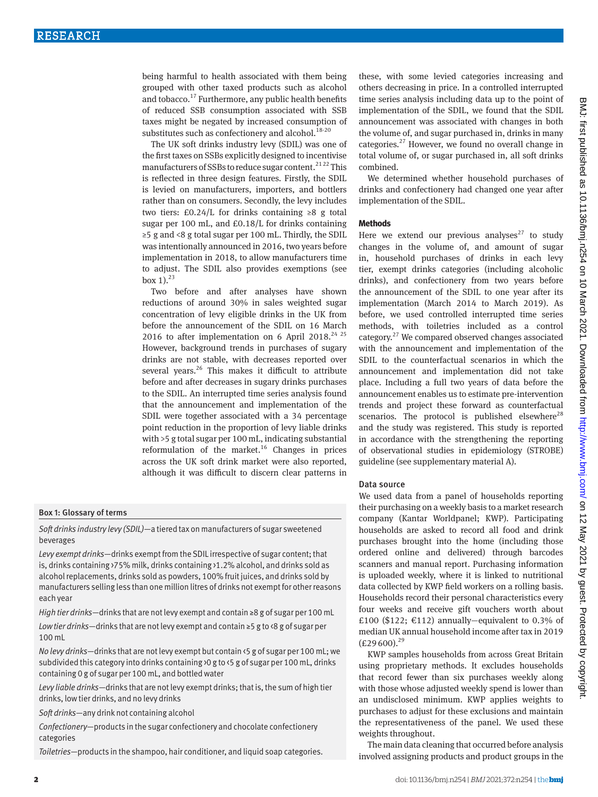being harmful to health associated with them being grouped with other taxed products such as alcohol and tobacco.<sup>17</sup> Furthermore, any public health benefits of reduced SSB consumption associated with SSB taxes might be negated by increased consumption of substitutes such as confectionery and alcohol.<sup>18-20</sup>

The UK soft drinks industry levy (SDIL) was one of the first taxes on SSBs explicitly designed to incentivise manufacturers of SSBs to reduce sugar content.<sup>2122</sup> This is reflected in three design features. Firstly, the SDIL is levied on manufacturers, importers, and bottlers rather than on consumers. Secondly, the levy includes two tiers: £0.24/L for drinks containing ≥8 g total sugar per 100 mL, and £0.18/L for drinks containing ≥5 g and <8 g total sugar per 100 mL. Thirdly, the SDIL was intentionally announced in 2016, two years before implementation in 2018, to allow manufacturers time to adjust. The SDIL also provides exemptions (see box  $1$ ).<sup>23</sup>

Two before and after analyses have shown reductions of around 30% in sales weighted sugar concentration of levy eligible drinks in the UK from before the announcement of the SDIL on 16 March 2016 to after implementation on 6 April 2018.<sup>24 25</sup> However, background trends in purchases of sugary drinks are not stable, with decreases reported over several years. $26$  This makes it difficult to attribute before and after decreases in sugary drinks purchases to the SDIL. An interrupted time series analysis found that the announcement and implementation of the SDIL were together associated with a 34 percentage point reduction in the proportion of levy liable drinks with >5 g total sugar per 100 mL, indicating substantial reformulation of the market.16 Changes in prices across the UK soft drink market were also reported, although it was difficult to discern clear patterns in

# Box 1: Glossary of terms

*Soft drinks industry levy (SDIL)—*a tiered tax on manufacturers of sugar sweetened beverages

*Levy exempt drinks—*drinks exempt from the SDIL irrespective of sugar content; that is, drinks containing >75% milk, drinks containing >1.2% alcohol, and drinks sold as alcohol replacements, drinks sold as powders, 100% fruit juices, and drinks sold by manufacturers selling less than one million litres of drinks not exempt for other reasons each year

*High tier drinks—*drinks that are not levy exempt and contain ≥8 g of sugar per 100 mL

*Low tier drinks—*drinks that are not levy exempt and contain ≥5 g to <8 g of sugar per 100 mL

*No levy drinks—*drinks that are not levy exempt but contain <5 g of sugar per 100 mL; we subdivided this category into drinks containing >0 g to <5 g of sugar per 100 mL, drinks containing 0 g of sugar per 100 mL, and bottled water

*Levy liable drinks—*drinks that are not levy exempt drinks; that is, the sum of high tier drinks, low tier drinks, and no levy drinks

*Soft drinks—*any drink not containing alcohol

*Confectionery—*products in the sugar confectionery and chocolate confectionery categories

*Toiletries—*products in the shampoo, hair conditioner, and liquid soap categories.

these, with some levied categories increasing and others decreasing in price. In a controlled interrupted time series analysis including data up to the point of implementation of the SDIL, we found that the SDIL announcement was associated with changes in both the volume of, and sugar purchased in, drinks in many categories.27 However, we found no overall change in total volume of, or sugar purchased in, all soft drinks combined.

We determined whether household purchases of drinks and confectionery had changed one year after implementation of the SDIL.

#### **Methods**

Here we extend our previous analyses<sup>27</sup> to study changes in the volume of, and amount of sugar in, household purchases of drinks in each levy tier, exempt drinks categories (including alcoholic drinks), and confectionery from two years before the announcement of the SDIL to one year after its implementation (March 2014 to March 2019). As before, we used controlled interrupted time series methods, with toiletries included as a control category.27 We compared observed changes associated with the announcement and implementation of the SDIL to the counterfactual scenarios in which the announcement and implementation did not take place. Including a full two years of data before the announcement enables us to estimate pre-intervention trends and project these forward as counterfactual scenarios. The protocol is published elsewhere $^{28}$ and the study was registered. This study is reported in accordance with the strengthening the reporting of observational studies in epidemiology (STROBE) guideline (see supplementary material A).

#### Data source

We used data from a panel of households reporting their purchasing on a weekly basis to a market research company (Kantar Worldpanel; KWP). Participating households are asked to record all food and drink purchases brought into the home (including those ordered online and delivered) through barcodes scanners and manual report. Purchasing information is uploaded weekly, where it is linked to nutritional data collected by KWP field workers on a rolling basis. Households record their personal characteristics every four weeks and receive gift vouchers worth about £100 (\$122; €112) annually-equivalent to 0.3% of median UK annual household income after tax in 2019  $(E29600).^{29}$ 

KWP samples households from across Great Britain using proprietary methods. It excludes households that record fewer than six purchases weekly along with those whose adjusted weekly spend is lower than an undisclosed minimum. KWP applies weights to purchases to adjust for these exclusions and maintain the representativeness of the panel. We used these weights throughout.

The main data cleaning that occurred before analysis involved assigning products and product groups in the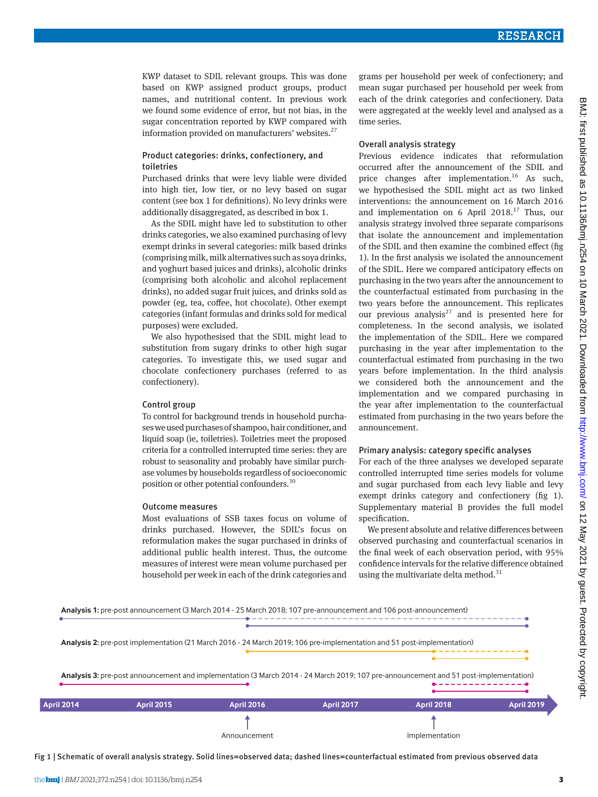BMJ: first published as 10.1136/bmj.n254 on 10 March

KWP dataset to SDIL relevant groups. This was done based on KWP assigned product groups, product names, and nutritional content. In previous work we found some evidence of error, but not bias, in the sugar concentration reported by KWP compared with information provided on manufacturers' websites. $27$ 

# Product categories: drinks, confectionery, and toiletries

Purchased drinks that were levy liable were divided into high tier, low tier, or no levy based on sugar content (see box 1 for definitions). No levy drinks were additionally disaggregated, as described in box 1.

As the SDIL might have led to substitution to other drinks categories, we also examined purchasing of levy exempt drinks in several categories: milk based drinks (comprising milk, milk alternatives such as soya drinks, and yoghurt based juices and drinks), alcoholic drinks (comprising both alcoholic and alcohol replacement drinks), no added sugar fruit juices, and drinks sold as powder (eg, tea, coffee, hot chocolate). Other exempt categories (infant formulas and drinks sold for medical purposes) were excluded.

We also hypothesised that the SDIL might lead to substitution from sugary drinks to other high sugar categories. To investigate this, we used sugar and chocolate confectionery purchases (referred to as confectionery).

#### Control group

To control for background trends in household purchases we used purchases of shampoo, hair conditioner, and liquid soap (ie, toiletries). Toiletries meet the proposed criteria for a controlled interrupted time series: they are robust to seasonality and probably have similar purchase volumes by households regardless of socioeconomic position or other potential confounders.30

#### Outcome measures

Most evaluations of SSB taxes focus on volume of drinks purchased. However, the SDIL's focus on reformulation makes the sugar purchased in drinks of additional public health interest. Thus, the outcome measures of interest were mean volume purchased per household per week in each of the drink categories and

grams per household per week of confectionery; and mean sugar purchased per household per week from each of the drink categories and confectionery. Data were aggregated at the weekly level and analysed as a time series.

#### Overall analysis strategy

Previous evidence indicates that reformulation occurred after the announcement of the SDIL and price changes after implementation.<sup>16</sup> As such. we hypothesised the SDIL might act as two linked interventions: the announcement on 16 March 2016 and implementation on 6 April 2018. $17$  Thus, our analysis strategy involved three separate comparisons that isolate the announcement and implementation of the SDIL and then examine the combined effect (fig 1). In the first analysis we isolated the announcement of the SDIL. Here we compared anticipatory effects on purchasing in the two years after the announcement to the counterfactual estimated from purchasing in the two years before the announcement. This replicates our previous analysis<sup>27</sup> and is presented here for completeness. In the second analysis, we isolated the implementation of the SDIL. Here we compared purchasing in the year after implementation to the counterfactual estimated from purchasing in the two years before implementation. In the third analysis we considered both the announcement and the implementation and we compared purchasing in the year after implementation to the counterfactual estimated from purchasing in the two years before the announcement.

#### Primary analysis: category specific analyses

For each of the three analyses we developed separate controlled interrupted time series models for volume and sugar purchased from each levy liable and levy exempt drinks category and confectionery (fig 1). Supplementary material B provides the full model specification.

We present absolute and relative differences between observed purchasing and counterfactual scenarios in the final week of each observation period, with 95% confidence intervals for the relative difference obtained using the multivariate delta method.<sup>31</sup>



Fig 1 | Schematic of overall analysis strategy. Solid lines=observed data; dashed lines=counterfactual estimated from previous observed data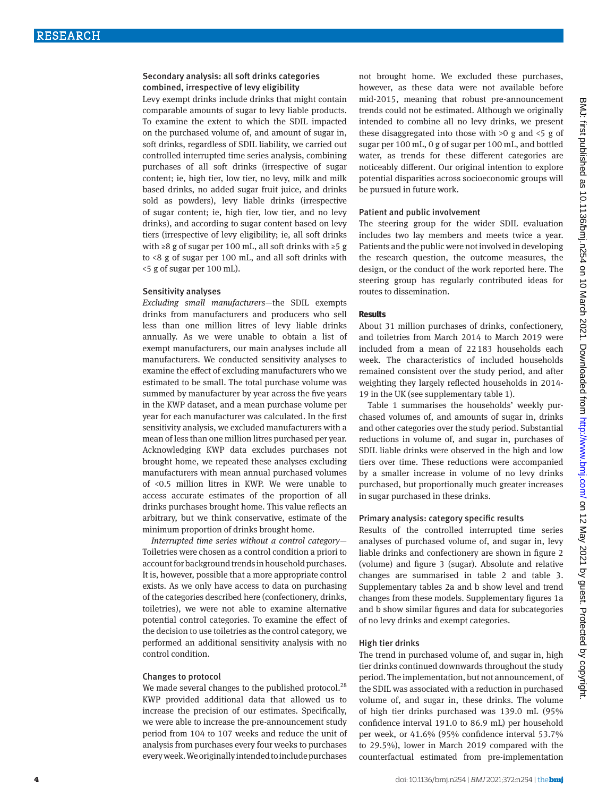# Secondary analysis: all soft drinks categories combined, irrespective of levy eligibility

Levy exempt drinks include drinks that might contain comparable amounts of sugar to levy liable products. To examine the extent to which the SDIL impacted on the purchased volume of, and amount of sugar in, soft drinks, regardless of SDIL liability, we carried out controlled interrupted time series analysis, combining purchases of all soft drinks (irrespective of sugar content; ie, high tier, low tier, no levy, milk and milk based drinks, no added sugar fruit juice, and drinks sold as powders), levy liable drinks (irrespective of sugar content; ie, high tier, low tier, and no levy drinks), and according to sugar content based on levy tiers (irrespective of levy eligibility; ie, all soft drinks with ≥8 g of sugar per 100 mL, all soft drinks with ≥5 g to <8 g of sugar per 100 mL, and all soft drinks with <5 g of sugar per 100 mL).

#### Sensitivity analyses

*Excluding small manufacturers*—the SDIL exempts drinks from manufacturers and producers who sell less than one million litres of levy liable drinks annually. As we were unable to obtain a list of exempt manufacturers, our main analyses include all manufacturers. We conducted sensitivity analyses to examine the effect of excluding manufacturers who we estimated to be small. The total purchase volume was summed by manufacturer by year across the five years in the KWP dataset, and a mean purchase volume per year for each manufacturer was calculated. In the first sensitivity analysis, we excluded manufacturers with a mean of less than one million litres purchased per year. Acknowledging KWP data excludes purchases not brought home, we repeated these analyses excluding manufacturers with mean annual purchased volumes of <0.5 million litres in KWP. We were unable to access accurate estimates of the proportion of all drinks purchases brought home. This value reflects an arbitrary, but we think conservative, estimate of the minimum proportion of drinks brought home.

*Interrupted time series without a control category*— Toiletries were chosen as a control condition a priori to account for background trends in household purchases. It is, however, possible that a more appropriate control exists. As we only have access to data on purchasing of the categories described here (confectionery, drinks, toiletries), we were not able to examine alternative potential control categories. To examine the effect of the decision to use toiletries as the control category, we performed an additional sensitivity analysis with no control condition.

#### Changes to protocol

We made several changes to the published protocol.<sup>28</sup> KWP provided additional data that allowed us to increase the precision of our estimates. Specifically, we were able to increase the pre-announcement study period from 104 to 107 weeks and reduce the unit of analysis from purchases every four weeks to purchases every week. We originally intended to include purchases

not brought home. We excluded these purchases, however, as these data were not available before mid-2015, meaning that robust pre-announcement trends could not be estimated. Although we originally intended to combine all no levy drinks, we present these disaggregated into those with  $>0$  g and  $<5$  g of sugar per 100 mL, 0 g of sugar per 100 mL, and bottled water, as trends for these different categories are noticeably different. Our original intention to explore potential disparities across socioeconomic groups will be pursued in future work.

#### Patient and public involvement

The steering group for the wider SDIL evaluation includes two lay members and meets twice a year. Patients and the public were not involved in developing the research question, the outcome measures, the design, or the conduct of the work reported here. The steering group has regularly contributed ideas for routes to dissemination.

#### **Results**

About 31 million purchases of drinks, confectionery, and toiletries from March 2014 to March 2019 were included from a mean of 22183 households each week. The characteristics of included households remained consistent over the study period, and after weighting they largely reflected households in 2014- 19 in the UK (see supplementary table 1).

Table 1 summarises the households' weekly purchased volumes of, and amounts of sugar in, drinks and other categories over the study period. Substantial reductions in volume of, and sugar in, purchases of SDIL liable drinks were observed in the high and low tiers over time. These reductions were accompanied by a smaller increase in volume of no levy drinks purchased, but proportionally much greater increases in sugar purchased in these drinks.

# Primary analysis: category specific results

Results of the controlled interrupted time series analyses of purchased volume of, and sugar in, levy liable drinks and confectionery are shown in figure 2 (volume) and figure 3 (sugar). Absolute and relative changes are summarised in table 2 and table 3. Supplementary tables 2a and b show level and trend changes from these models. Supplementary figures 1a and b show similar figures and data for subcategories of no levy drinks and exempt categories.

#### High tier drinks

The trend in purchased volume of, and sugar in, high tier drinks continued downwards throughout the study period. The implementation, but not announcement, of the SDIL was associated with a reduction in purchased volume of, and sugar in, these drinks. The volume of high tier drinks purchased was 139.0 mL (95% confidence interval 191.0 to 86.9 mL) per household per week, or 41.6% (95% confidence interval 53.7% to 29.5%), lower in March 2019 compared with the counterfactual estimated from pre-implementation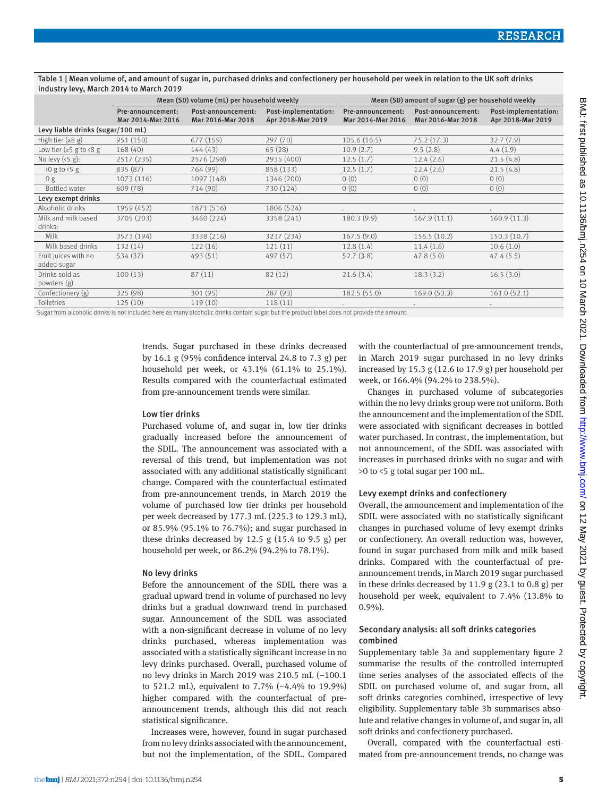Table 1 | Mean volume of, and amount of sugar in, purchased drinks and confectionery per household per week in relation to the UK soft drinks industry levy, March 2014 to March 2019

|                                     | Mean (SD) volume (mL) per household weekly |                                                                                                                 |                                                                                                                                                                                                                                | Mean (SD) amount of sugar (g) per household weekly |                                         |                                           |
|-------------------------------------|--------------------------------------------|-----------------------------------------------------------------------------------------------------------------|--------------------------------------------------------------------------------------------------------------------------------------------------------------------------------------------------------------------------------|----------------------------------------------------|-----------------------------------------|-------------------------------------------|
|                                     | Pre-announcement:<br>Mar 2014-Mar 2016     | Post-announcement:<br>Mar 2016-Mar 2018                                                                         | Post-implementation:<br>Apr 2018-Mar 2019                                                                                                                                                                                      | Pre-announcement:<br>Mar 2014-Mar 2016             | Post-announcement:<br>Mar 2016-Mar 2018 | Post-implementation:<br>Apr 2018-Mar 2019 |
| Levy liable drinks (sugar/100 mL)   |                                            |                                                                                                                 |                                                                                                                                                                                                                                |                                                    |                                         |                                           |
| High tier $(28 g)$                  | 951 (150)                                  | 677 (159)                                                                                                       | 297(70)                                                                                                                                                                                                                        | 105.6(16.5)                                        | 75.2(17.3)                              | 32.7(7.9)                                 |
| Low tier ( $\geq$ 5 g to <8 g       | 168 (40)                                   | 144(43)                                                                                                         | 65(28)                                                                                                                                                                                                                         | 10.9(2.7)                                          | 9.5(2.8)                                | 4.4(1.9)                                  |
| No levy $(5 g)$ :                   | 2517 (235)                                 | 2576 (298)                                                                                                      | 2935 (400)                                                                                                                                                                                                                     | 12.5(1.7)                                          | 12.4(2.6)                               | 21.5(4.8)                                 |
| $>0$ g to $5$ g                     | 835 (87)                                   | 764 (99)                                                                                                        | 858 (133)                                                                                                                                                                                                                      | 12.5(1.7)                                          | 12.4(2.6)                               | 21.5(4.8)                                 |
| 0 g                                 | 1073 (116)                                 | 1097 (148)                                                                                                      | 1346 (200)                                                                                                                                                                                                                     | 0(0)                                               | 0(0)                                    | 0(0)                                      |
| Bottled water                       | 609 (78)                                   | 714 (90)                                                                                                        | 730 (124)                                                                                                                                                                                                                      | 0(0)                                               | 0(0)                                    | 0(0)                                      |
| Levy exempt drinks                  |                                            |                                                                                                                 |                                                                                                                                                                                                                                |                                                    |                                         |                                           |
| Alcoholic drinks                    | 1959 (452)                                 | 1871 (516)                                                                                                      | 1806 (524)                                                                                                                                                                                                                     |                                                    |                                         |                                           |
| Milk and milk based<br>drinks:      | 3705 (203)                                 | 3460 (224)                                                                                                      | 3358 (241)                                                                                                                                                                                                                     | 180.3(9.9)                                         | 167.9(11.1)                             | 160.9(11.3)                               |
| Milk                                | 3573 (194)                                 | 3338 (216)                                                                                                      | 3237 (234)                                                                                                                                                                                                                     | 167.5(9.0)                                         | 156.5(10.2)                             | 150.3(10.7)                               |
| Milk based drinks                   | 132 (14)                                   | 122(16)                                                                                                         | 121(11)                                                                                                                                                                                                                        | 12.8(1.4)                                          | 11.4(1.6)                               | 10.6(1.0)                                 |
| Fruit juices with no<br>added sugar | 534 (37)                                   | 493(51)                                                                                                         | 497 (57)                                                                                                                                                                                                                       | 52.7(3.8)                                          | 47.8(5.0)                               | 47.4(5.5)                                 |
| Drinks sold as<br>powders (g)       | 100(13)                                    | 87(11)                                                                                                          | 82(12)                                                                                                                                                                                                                         | 21.6(3.4)                                          | 18.3(3.2)                               | 16.5(3.0)                                 |
| Confectionery (g)                   | 325 (98)                                   | 301(95)                                                                                                         | 287(93)                                                                                                                                                                                                                        | 182.5 (55.0)                                       | 169.0(53.3)                             | 161.0(52.1)                               |
| Toiletries                          | 125(10)                                    | 119(10)                                                                                                         | 118(11)                                                                                                                                                                                                                        |                                                    |                                         | $\sim$                                    |
| .                                   |                                            | the contract of the contract of the contract of the contract of the contract of the contract of the contract of | the second contract of the second contract of the second contract of the second contract of the second contract of the second contract of the second contract of the second contract of the second contract of the second cont | $\sim$                                             |                                         |                                           |

Sugar from alcoholic drinks is not included here as many alcoholic drinks contain sugar but the product label does not provide the amount.

trends. Sugar purchased in these drinks decreased by 16.1 g (95% confidence interval 24.8 to 7.3 g) per household per week, or 43.1% (61.1% to 25.1%). Results compared with the counterfactual estimated from pre-announcement trends were similar.

#### Low tier drinks

Purchased volume of, and sugar in, low tier drinks gradually increased before the announcement of the SDIL. The announcement was associated with a reversal of this trend, but implementation was not associated with any additional statistically significant change. Compared with the counterfactual estimated from pre-announcement trends, in March 2019 the volume of purchased low tier drinks per household per week decreased by 177.3 mL (225.3 to 129.3 mL), or 85.9% (95.1% to 76.7%); and sugar purchased in these drinks decreased by 12.5 g  $(15.4 \text{ to } 9.5 \text{ g})$  per household per week, or 86.2% (94.2% to 78.1%).

#### No levy drinks

Before the announcement of the SDIL there was a gradual upward trend in volume of purchased no levy drinks but a gradual downward trend in purchased sugar. Announcement of the SDIL was associated with a non-significant decrease in volume of no levy drinks purchased, whereas implementation was associated with a statistically significant increase in no levy drinks purchased. Overall, purchased volume of no levy drinks in March 2019 was 210.5 mL (−100.1 to 521.2 mL), equivalent to 7.7% (−4.4% to 19.9%) higher compared with the counterfactual of preannouncement trends, although this did not reach statistical significance.

Increases were, however, found in sugar purchased from no levy drinks associated with the announcement, but not the implementation, of the SDIL. Compared with the counterfactual of pre-announcement trends, in March 2019 sugar purchased in no levy drinks increased by 15.3 g (12.6 to 17.9 g) per household per week, or 166.4% (94.2% to 238.5%).

Changes in purchased volume of subcategories within the no levy drinks group were not uniform. Both the announcement and the implementation of the SDIL were associated with significant decreases in bottled water purchased. In contrast, the implementation, but not announcement, of the SDIL was associated with increases in purchased drinks with no sugar and with >0 to <5 g total sugar per 100 mL.

#### Levy exempt drinks and confectionery

Overall, the announcement and implementation of the SDIL were associated with no statistically significant changes in purchased volume of levy exempt drinks or confectionery. An overall reduction was, however, found in sugar purchased from milk and milk based drinks. Compared with the counterfactual of preannouncement trends, in March 2019 sugar purchased in these drinks decreased by 11.9 g  $(23.1 \text{ to } 0.8 \text{ g})$  per household per week, equivalent to 7.4% (13.8% to  $0.9\%$ ).

# Secondary analysis: all soft drinks categories combined

Supplementary table 3a and supplementary figure 2 summarise the results of the controlled interrupted time series analyses of the associated effects of the SDIL on purchased volume of, and sugar from, all soft drinks categories combined, irrespective of levy eligibility. Supplementary table 3b summarises absolute and relative changes in volume of, and sugar in, all soft drinks and confectionery purchased.

Overall, compared with the counterfactual estimated from pre-announcement trends, no change was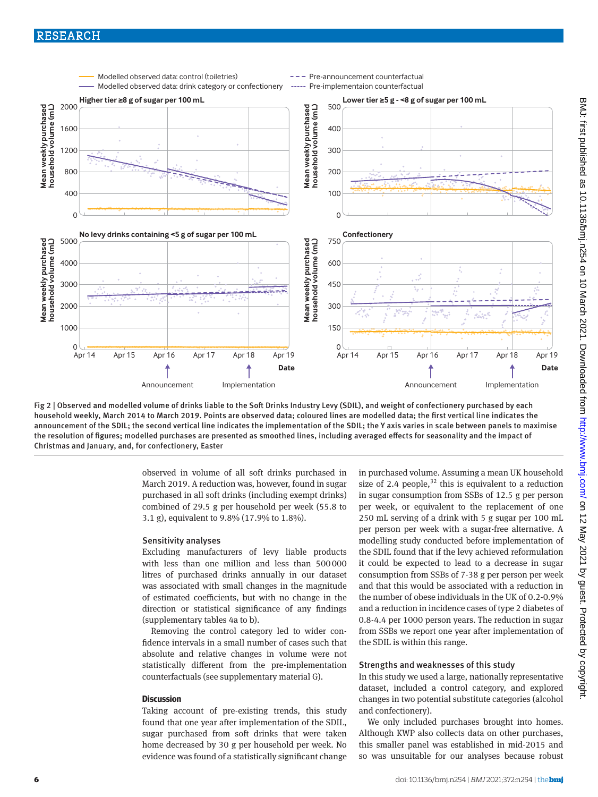# RESEARCH



Fig 2 | Observed and modelled volume of drinks liable to the Soft Drinks Industry Levy (SDIL), and weight of confectionery purchased by each household weekly, March 2014 to March 2019. Points are observed data; coloured lines are modelled data; the first vertical line indicates the announcement of the SDIL; the second vertical line indicates the implementation of the SDIL; the Y axis varies in scale between panels to maximise the resolution of figures; modelled purchases are presented as smoothed lines, including averaged effects for seasonality and the impact of Christmas and January, and, for confectionery, Easter

observed in volume of all soft drinks purchased in March 2019. A reduction was, however, found in sugar purchased in all soft drinks (including exempt drinks) combined of 29.5 g per household per week (55.8 to 3.1 g), equivalent to 9.8% (17.9% to 1.8%).

#### Sensitivity analyses

Excluding manufacturers of levy liable products with less than one million and less than 500000 litres of purchased drinks annually in our dataset was associated with small changes in the magnitude of estimated coefficients, but with no change in the direction or statistical significance of any findings (supplementary tables 4a to b).

Removing the control category led to wider confidence intervals in a small number of cases such that absolute and relative changes in volume were not statistically different from the pre-implementation counterfactuals (see supplementary material G).

# **Discussion**

Taking account of pre-existing trends, this study found that one year after implementation of the SDIL, sugar purchased from soft drinks that were taken home decreased by 30 g per household per week. No evidence was found of a statistically significant change in purchased volume. Assuming a mean UK household size of 2.4 people,  $32$  this is equivalent to a reduction in sugar consumption from SSBs of 12.5 g per person per week, or equivalent to the replacement of one 250 mL serving of a drink with 5 g sugar per 100 mL per person per week with a sugar-free alternative. A modelling study conducted before implementation of the SDIL found that if the levy achieved reformulation it could be expected to lead to a decrease in sugar consumption from SSBs of 7-38 g per person per week and that this would be associated with a reduction in the number of obese individuals in the UK of 0.2-0.9% and a reduction in incidence cases of type 2 diabetes of 0.8-4.4 per 1000 person years. The reduction in sugar from SSBs we report one year after implementation of the SDIL is within this range.

# Strengths and weaknesses of this study

In this study we used a large, nationally representative dataset, included a control category, and explored changes in two potential substitute categories (alcohol and confectionery).

We only included purchases brought into homes. Although KWP also collects data on other purchases, this smaller panel was established in mid-2015 and so was unsuitable for our analyses because robust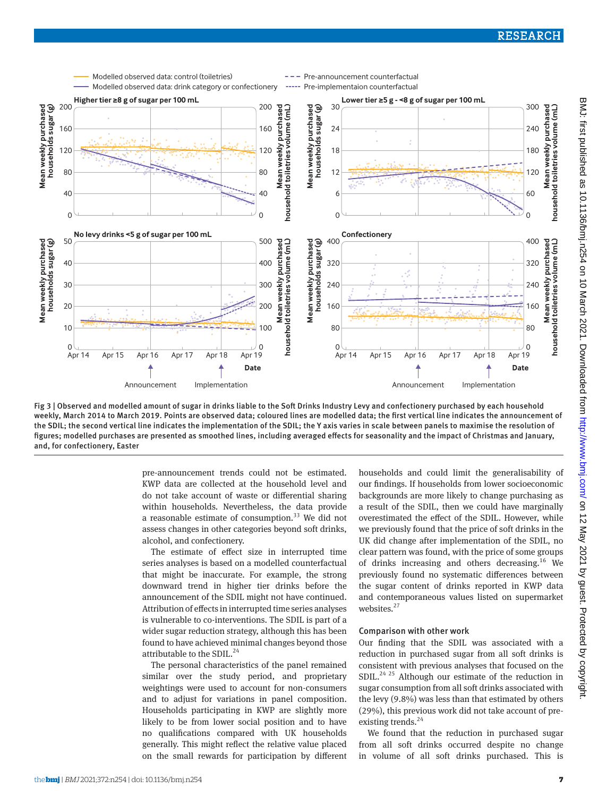

Fig 3 | Observed and modelled amount of sugar in drinks liable to the Soft Drinks Industry Levy and confectionery purchased by each household weekly, March 2014 to March 2019. Points are observed data; coloured lines are modelled data; the first vertical line indicates the announcement of the SDIL; the second vertical line indicates the implementation of the SDIL; the Y axis varies in scale between panels to maximise the resolution of figures; modelled purchases are presented as smoothed lines, including averaged effects for seasonality and the impact of Christmas and January, and, for confectionery, Easter

pre-announcement trends could not be estimated. KWP data are collected at the household level and do not take account of waste or differential sharing within households. Nevertheless, the data provide a reasonable estimate of consumption.<sup>33</sup> We did not assess changes in other categories beyond soft drinks, alcohol, and confectionery.

The estimate of effect size in interrupted time series analyses is based on a modelled counterfactual that might be inaccurate. For example, the strong downward trend in higher tier drinks before the announcement of the SDIL might not have continued. Attribution of effects in interrupted time series analyses is vulnerable to co-interventions. The SDIL is part of a wider sugar reduction strategy, although this has been found to have achieved minimal changes beyond those attributable to the SDIL.<sup>24</sup>

The personal characteristics of the panel remained similar over the study period, and proprietary weightings were used to account for non-consumers and to adjust for variations in panel composition. Households participating in KWP are slightly more likely to be from lower social position and to have no qualifications compared with UK households generally. This might reflect the relative value placed on the small rewards for participation by different households and could limit the generalisability of our findings. If households from lower socioeconomic backgrounds are more likely to change purchasing as a result of the SDIL, then we could have marginally overestimated the effect of the SDIL. However, while we previously found that the price of soft drinks in the UK did change after implementation of the SDIL, no clear pattern was found, with the price of some groups of drinks increasing and others decreasing.16 We previously found no systematic differences between the sugar content of drinks reported in KWP data and contemporaneous values listed on supermarket websites. $27$ 

#### Comparison with other work

Our finding that the SDIL was associated with a reduction in purchased sugar from all soft drinks is consistent with previous analyses that focused on the  $SDIL.<sup>24-25</sup>$  Although our estimate of the reduction in sugar consumption from all soft drinks associated with the levy (9.8%) was less than that estimated by others (29%), this previous work did not take account of preexisting trends.<sup>24</sup>

We found that the reduction in purchased sugar from all soft drinks occurred despite no change in volume of all soft drinks purchased. This is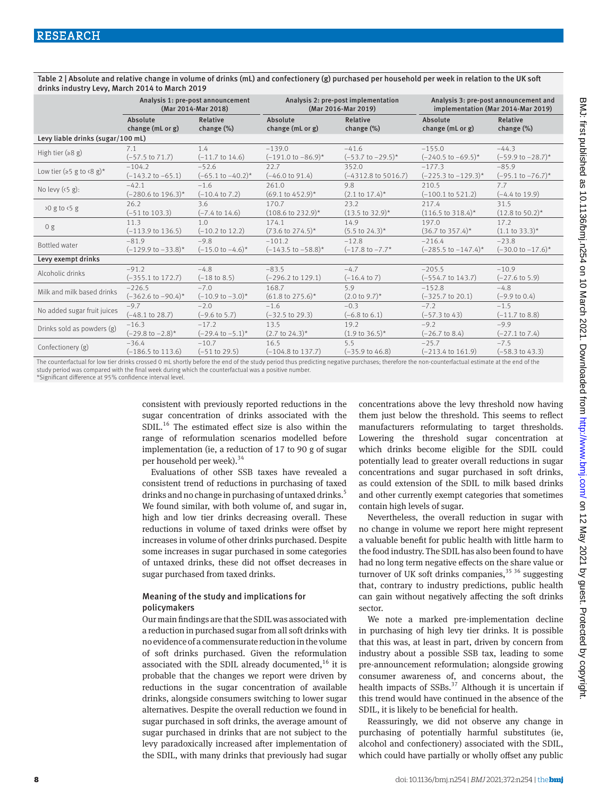|                                      | Analysis 1: pre-post announcement |                               | Analysis 2: pre-post implementation |                                | Analysis 3: pre-post announcement and |                               |  |
|--------------------------------------|-----------------------------------|-------------------------------|-------------------------------------|--------------------------------|---------------------------------------|-------------------------------|--|
|                                      | (Mar 2014-Mar 2018)               |                               | (Mar 2016-Mar 2019)                 |                                | implementation (Mar 2014-Mar 2019)    |                               |  |
|                                      | Absolute                          | Relative                      | Absolute                            | Relative                       | Absolute                              | Relative                      |  |
|                                      | change (mL or g)                  | change $(\%)$                 | change (mL or g)                    | change (%)                     | change (mL or g)                      | change (%)                    |  |
| Levy liable drinks (sugar/100 mL)    |                                   |                               |                                     |                                |                                       |                               |  |
| High tier $(28 g)$                   | 7.1                               | 1.4                           | $-139.0$                            | $-41.6$                        | $-155.0$                              | $-44.3$                       |  |
|                                      | $(-57.5 \text{ to } 71.7)$        | $(-11.7 \text{ to } 14.6)$    | $(-191.0 \text{ to } -86.9)^*$      | $(-53.7$ to $-29.5)^*$         | $(-240.5 \text{ to } -69.5)^*$        | $(-59.9 \text{ to } -28.7)^*$ |  |
| Low tier ( $\ge$ 5 g to <8 g)*       | $-104.2$                          | $-52.6$                       | 22.7                                | 352.0                          | $-177.3$                              | $-85.9$                       |  |
|                                      | $(-143.2 \text{ to } -65.1)$      | $(-65.1 \text{ to } -40.2)^*$ | $(-46.0 \text{ to } 91.4)$          | $(-4312.8 \text{ to } 5016.7)$ | $(-225.3 \text{ to } -129.3)^*$       | $(-95.1 \text{ to } -76.7)^*$ |  |
| No levy $(5 g)$ :                    | $-42.1$                           | $-1.6$                        | 261.0                               | 9.8                            | 210.5                                 | 7.7                           |  |
|                                      | $(-280.6 \text{ to } 196.3)^*$    | $(-10.4 \text{ to } 7.2)$     | $(69.1 \text{ to } 452.9)^*$        | $(2.1 \text{ to } 17.4)^*$     | $(-100.1 \text{ to } 521.2)$          | $(-4.4 \text{ to } 19.9)$     |  |
| $\frac{1}{2}$ 0 g to $\frac{1}{5}$ g | 26.2                              | 3.6                           | 170.7                               | 23.2                           | 217.4                                 | 31.5                          |  |
|                                      | $(-51$ to $103.3)$                | $(-7.4 \text{ to } 14.6)$     | $(108.6 \text{ to } 232.9)^*$       | $(13.5 \text{ to } 32.9)^*$    | $(116.5 \text{ to } 318.4)^*$         | $(12.8 \text{ to } 50.2)^*$   |  |
| 0 g                                  | 11.3                              | 1.0                           | 174.1                               | 14.9                           | 197.0                                 | 17.2                          |  |
|                                      | $(-113.9 \text{ to } 136.5)$      | $(-10.2 \text{ to } 12.2)$    | $(73.6 \text{ to } 274.5)^*$        | $(5.5 \text{ to } 24.3)^*$     | $(36.7 \text{ to } 357.4)^*$          | $(1.1 \text{ to } 33.3)^*$    |  |
| Bottled water                        | $-81.9$                           | $-9.8$                        | $-101.2$                            | $-12.8$                        | $-216.4$                              | $-23.8$                       |  |
|                                      | $(-129.9 \text{ to } -33.8)^*$    | $(-15.0 \text{ to } -4.6)^*$  | $(-143.5 \text{ to } -58.8)^*$      | $(-17.8 \text{ to } -7.7^*)$   | $(-285.5 \text{ to } -147.4)^*$       | $(-30.0 \text{ to } -17.6)^*$ |  |
| Levy exempt drinks                   |                                   |                               |                                     |                                |                                       |                               |  |
| Alcoholic drinks                     | $-91.2$                           | $-4.8$                        | $-83.5$                             | $-4.7$                         | $-205.5$                              | $-10.9$                       |  |
|                                      | $(-355.1 \text{ to } 172.7)$      | $(-18 \text{ to } 8.5)$       | $(-296.2 \text{ to } 129.1)$        | $(-16.4 \text{ to } 7)$        | $(-554.7 \text{ to } 143.7)$          | $(-27.6 \text{ to } 5.9)$     |  |
| Milk and milk based drinks           | $-226.5$                          | $-7.0$                        | 168.7                               | 5.9                            | $-152.8$                              | $-4.8$                        |  |
|                                      | $(-362.6 \text{ to } -90.4)^*$    | $(-10.9 \text{ to } -3.0)^*$  | $(61.8 \text{ to } 275.6)^*$        | $(2.0 \text{ to } 9.7)^*$      | $(-325.7 \text{ to } 20.1)$           | $(-9.9 \text{ to } 0.4)$      |  |
| No added sugar fruit juices          | $-9.7$                            | $-2.0$                        | $-1.6$                              | $-0.3$                         | $-7.2$                                | $-1.5$                        |  |
|                                      | $(-48.1 \text{ to } 28.7)$        | $(-9.6 \text{ to } 5.7)$      | $(-32.5 \text{ to } 29.3)$          | $(-6.8 \text{ to } 6.1)$       | $(-57.3 \text{ to } 43)$              | $(-11.7 \text{ to } 8.8)$     |  |
| Drinks sold as powders (g)           | $-16.3$                           | $-17.2$                       | 13.5                                | 19.2                           | $-9.2$                                | $-9.9$                        |  |
|                                      | $(-29.8 \text{ to } -2.8)^*$      | $(-29.4 \text{ to } -5.1)^*$  | $(2.7 \text{ to } 24.3)^*$          | $(1.9 \text{ to } 36.5)^*$     | $(-26.7 \text{ to } 8.4)$             | $(-27.1 \text{ to } 7.4)$     |  |
| Confectionery (g)                    | $-36.4$                           | $-10.7$                       | 16.5                                | 5.5                            | $-25.7$                               | $-7.5$                        |  |
|                                      | $(-186.5 \text{ to } 113.6)$      | $(-51$ to 29.5)               | $(-104.8 \text{ to } 137.7)$        | $(-35.9 \text{ to } 46.8)$     | $(-213.4 \text{ to } 161.9)$          | $(-58.3 \text{ to } 43.3)$    |  |

Table 2 | Absolute and relative change in volume of drinks (mL) and confectionery (g) purchased per household per week in relation to the UK soft drinks industry Levy, March 2014 to March 2019

The counterfactual for low tier drinks crossed 0 mL shortly before the end of the study period thus predicting negative purchases; therefore the non-counterfactual estimate at the end of the study period was compared with the final week during which the counterfactual was a positive number.

\*Significant difference at 95% confidence interval level.

consistent with previously reported reductions in the sugar concentration of drinks associated with the SDIL.<sup>16</sup> The estimated effect size is also within the range of reformulation scenarios modelled before implementation (ie, a reduction of 17 to 90 g of sugar per household per week).<sup>34</sup>

Evaluations of other SSB taxes have revealed a consistent trend of reductions in purchasing of taxed drinks and no change in purchasing of untaxed drinks.<sup>5</sup> We found similar, with both volume of, and sugar in, high and low tier drinks decreasing overall. These reductions in volume of taxed drinks were offset by increases in volume of other drinks purchased. Despite some increases in sugar purchased in some categories of untaxed drinks, these did not offset decreases in sugar purchased from taxed drinks.

# Meaning of the study and implications for policymakers

Our main findings are that the SDIL was associated with a reduction in purchased sugar from all soft drinks with no evidence of a commensurate reduction in the volume of soft drinks purchased. Given the reformulation associated with the SDIL already documented, $16$  it is probable that the changes we report were driven by reductions in the sugar concentration of available drinks, alongside consumers switching to lower sugar alternatives. Despite the overall reduction we found in sugar purchased in soft drinks, the average amount of sugar purchased in drinks that are not subject to the levy paradoxically increased after implementation of the SDIL, with many drinks that previously had sugar

concentrations above the levy threshold now having them just below the threshold. This seems to reflect manufacturers reformulating to target thresholds. Lowering the threshold sugar concentration at which drinks become eligible for the SDIL could potentially lead to greater overall reductions in sugar concentrations and sugar purchased in soft drinks, as could extension of the SDIL to milk based drinks and other currently exempt categories that sometimes contain high levels of sugar.

Nevertheless, the overall reduction in sugar with no change in volume we report here might represent a valuable benefit for public health with little harm to the food industry. The SDIL has also been found to have had no long term negative effects on the share value or turnover of UK soft drinks companies,  $35\,36$  suggesting that, contrary to industry predictions, public health can gain without negatively affecting the soft drinks sector.

We note a marked pre-implementation decline in purchasing of high levy tier drinks. It is possible that this was, at least in part, driven by concern from industry about a possible SSB tax, leading to some pre-announcement reformulation; alongside growing consumer awareness of, and concerns about, the health impacts of  $SSBs$ <sup>37</sup> Although it is uncertain if this trend would have continued in the absence of the SDIL, it is likely to be beneficial for health.

Reassuringly, we did not observe any change in purchasing of potentially harmful substitutes (ie, alcohol and confectionery) associated with the SDIL, which could have partially or wholly offset any public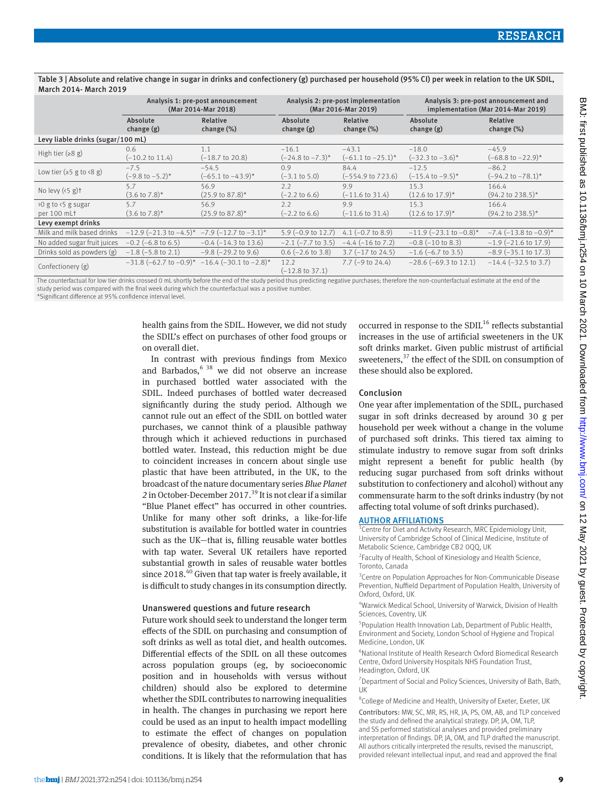Table 3 | Absolute and relative change in sugar in drinks and confectionery (g) purchased per household (95% CI) per week in relation to the UK SDIL, March 2014- March 2019

|                                   | Analysis 1: pre-post announcement              |                                                 | Analysis 2: pre-post implementation |                               | Analysis 3: pre-post announcement and |                               |  |  |
|-----------------------------------|------------------------------------------------|-------------------------------------------------|-------------------------------------|-------------------------------|---------------------------------------|-------------------------------|--|--|
|                                   | (Mar 2014-Mar 2018)                            |                                                 | (Mar 2016-Mar 2019)                 |                               | implementation (Mar 2014-Mar 2019)    |                               |  |  |
|                                   | Absolute                                       | Relative                                        | Absolute                            | Relative                      | Absolute                              | Relative                      |  |  |
|                                   | change (g)                                     | change $(\%)$                                   | change (g)                          | change $(\%)$                 | change (g)                            | change (%)                    |  |  |
| Levy liable drinks (sugar/100 mL) |                                                |                                                 |                                     |                               |                                       |                               |  |  |
| High tier $(28 g)$                | 0.6                                            | 1.1                                             | $-16.1$                             | $-43.1$                       | $-18.0$                               | $-45.9$                       |  |  |
|                                   | $(-10.2 \text{ to } 11.4)$                     | $(-18.7 \text{ to } 20.8)$                      | $(-24.8 \text{ to } -7.3)^*$        | $(-61.1 \text{ to } -25.1)^*$ | $(-32.3 \text{ to } -3.6)^*$          | $(-68.8 \text{ to } -22.9)^*$ |  |  |
| Low tier ( $\ge$ 5 g to $(8 g)$ ) | $-7.5$                                         | $-54.5$                                         | 0.9                                 | 84.4                          | $-12.5$                               | $-86.2$                       |  |  |
|                                   | $(-9.8 \text{ to } -5.2)^*$                    | $(-65.1 \text{ to } -43.9)^*$                   | $(-3.1 \text{ to } 5.0)$            | $(-554.9 \text{ to } 723.6)$  | $(-15.4 \text{ to } -9.5)^*$          | $(-94.2 \text{ to } -78.1)^*$ |  |  |
| No levy $(5g)$ t                  | 5.7                                            | 56.9                                            | 2.2                                 | 9.9                           | 15.3                                  | 166.4                         |  |  |
|                                   | $(3.6 \text{ to } 7.8)^*$                      | $(25.9 \text{ to } 87.8)^*$                     | $(-2.2 \text{ to } 6.6)$            | $(-11.6 \text{ to } 31.4)$    | $(12.6 \text{ to } 17.9)^*$           | $(94.2 \text{ to } 238.5)^*$  |  |  |
| >0 g to <5 g sugar                | 5.7                                            | 56.9                                            | 2.2                                 | 9.9                           | 15.3                                  | 166.4                         |  |  |
| per 100 mLt                       | $(3.6 \text{ to } 7.8)^*$                      | $(25.9 \text{ to } 87.8)^*$                     | $(-2.2 \text{ to } 6.6)$            | $(-11.6 \text{ to } 31.4)$    | $(12.6 \text{ to } 17.9)^*$           | $(94.2 \text{ to } 238.5)^*$  |  |  |
| Levy exempt drinks                |                                                |                                                 |                                     |                               |                                       |                               |  |  |
| Milk and milk based drinks        | $-12.9$ (-21.3 to -4.5)* -7.9 (-12.7 to -3.1)* |                                                 | $5.9$ (-0.9 to 12.7)                | 4.1 $(-0.7 \text{ to } 8.9)$  | $-11.9$ (-23.1 to -0.8)*              | $-7.4$ ( $-13.8$ to $-0.9$ )* |  |  |
| No added sugar fruit juices       | $-0.2$ ( $-6.8$ to 6.5)                        | $-0.4$ ( $-14.3$ to 13.6)                       | $-2.1$ ( $-7.7$ to 3.5)             | $-4.4$ ( $-16$ to 7.2)        | $-0.8$ ( $-10$ to 8.3)                | $-1.9$ ( $-21.6$ to 17.9)     |  |  |
| Drinks sold as powders (g)        | $-1.8$ ( $-5.8$ to 2.1)                        | $-9.8$ ( $-29.2$ to $9.6$ )                     | $0.6$ (-2.6 to 3.8)                 | $3.7$ (-17 to 24.5)           | $-1.6$ (-6.7 to 3.5)                  | $-8.9$ ( $-35.1$ to 17.3)     |  |  |
| Confectionery (g)                 |                                                | $-31.8$ (-62.7 to -0.9)* -16.4 (-30.1 to -2.8)* | 12.2<br>$(-12.8 \text{ to } 37.1)$  | 7.7 $(-9 \text{ to } 24.4)$   | $-28.6$ ( $-69.3$ to 12.1)            | $-14.4$ ( $-32.5$ to 3.7)     |  |  |

The counterfactual for low tier drinks crossed 0 mL shortly before the end of the study period thus predicting negative purchases; therefore the non-counterfactual estimate at the end of the study period was compared with the final week during which the counterfactual was a positive number. \*Significant difference at 95% confidence interval level.

> health gains from the SDIL. However, we did not study the SDIL's effect on purchases of other food groups or on overall diet.

> In contrast with previous findings from Mexico and Barbados, $638$  we did not observe an increase in purchased bottled water associated with the SDIL. Indeed purchases of bottled water decreased significantly during the study period. Although we cannot rule out an effect of the SDIL on bottled water purchases, we cannot think of a plausible pathway through which it achieved reductions in purchased bottled water. Instead, this reduction might be due to coincident increases in concern about single use plastic that have been attributed, in the UK, to the broadcast of the nature documentary series *Blue Planet 2* in October-December 2017.39 It is not clear if a similar "Blue Planet effect" has occurred in other countries. Unlike for many other soft drinks, a like-for-life substitution is available for bottled water in countries such as the UK—that is, filling reusable water bottles with tap water. Several UK retailers have reported substantial growth in sales of reusable water bottles since  $2018<sup>40</sup>$  Given that tap water is freely available, it is difficult to study changes in its consumption directly.

#### Unanswered questions and future research

Future work should seek to understand the longer term effects of the SDIL on purchasing and consumption of soft drinks as well as total diet, and health outcomes. Differential effects of the SDIL on all these outcomes across population groups (eg, by socioeconomic position and in households with versus without children) should also be explored to determine whether the SDIL contributes to narrowing inequalities in health. The changes in purchasing we report here could be used as an input to health impact modelling to estimate the effect of changes on population prevalence of obesity, diabetes, and other chronic conditions. It is likely that the reformulation that has occurred in response to the SDIL $^{16}$  reflects substantial increases in the use of artificial sweeteners in the UK soft drinks market. Given public mistrust of artificial sweeteners, $37$  the effect of the SDIL on consumption of these should also be explored.

#### Conclusion

One year after implementation of the SDIL, purchased sugar in soft drinks decreased by around 30 g per household per week without a change in the volume of purchased soft drinks. This tiered tax aiming to stimulate industry to remove sugar from soft drinks might represent a benefit for public health (by reducing sugar purchased from soft drinks without substitution to confectionery and alcohol) without any commensurate harm to the soft drinks industry (by not affecting total volume of soft drinks purchased).

#### AUTHOR AFFILIATIONS

<sup>1</sup> Centre for Diet and Activity Research, MRC Epidemiology Unit, University of Cambridge School of Clinical Medicine, Institute of Metabolic Science, Cambridge CB2 0QQ, UK

<sup>2</sup> Faculty of Health, School of Kinesiology and Health Science, Toronto, Canada

<sup>3</sup> Centre on Population Approaches for Non-Communicable Disease Prevention, Nuffield Department of Population Health, University of Oxford, Oxford, UK

4 Warwick Medical School, University of Warwick, Division of Health Sciences, Coventry, UK

5 Population Health Innovation Lab, Department of Public Health, Environment and Society, London School of Hygiene and Tropical Medicine, London, UK

6 National Institute of Health Research Oxford Biomedical Research Centre, Oxford University Hospitals NHS Foundation Trust, Headington, Oxford, UK

<sup>7</sup> Department of Social and Policy Sciences, University of Bath, Bath, UK

<sup>8</sup>College of Medicine and Health, University of Exeter, Exeter, UK

Contributors: MW, SC, MR, RS, HR, JA, PS, OM, AB, and TLP conceived the study and defined the analytical strategy. DP, JA, OM, TLP, and SS performed statistical analyses and provided preliminary interpretation of findings. DP, JA, OM, and TLP drafted the manuscript. All authors critically interpreted the results, revised the manuscript, provided relevant intellectual input, and read and approved the final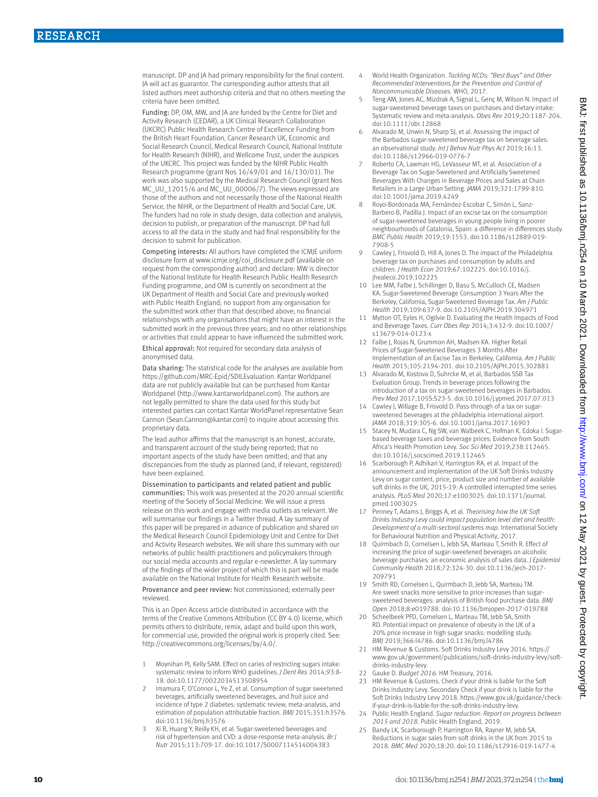manuscript. DP and JA had primary responsibility for the final content. JA will act as guarantor. The corresponding author attests that all listed authors meet authorship criteria and that no others meeting the criteria have been omitted.

Funding: DP, OM, MW, and JA are funded by the Centre for Diet and Activity Research (CEDAR), a UK Clinical Research Collaboration (UKCRC) Public Health Research Centre of Excellence Funding from the British Heart Foundation, Cancer Research UK, Economic and Social Research Council, Medical Research Council, National Institute for Health Research (NIHR), and Wellcome Trust, under the auspices of the UKCRC. This project was funded by the NIHR Public Health Research programme (grant Nos 16/49/01 and 16/130/01). The work was also supported by the Medical Research Council (grant Nos MC\_UU\_12015/6 and MC\_UU\_00006/7). The views expressed are those of the authors and not necessarily those of the National Health Service, the NIHR, or the Department of Health and Social Care, UK. The funders had no role in study design, data collection and analysis, decision to publish, or preparation of the manuscript. DP had full access to all the data in the study and had final responsibility for the decision to submit for publication.

Competing interests: All authors have completed the ICMJE uniform disclosure form at [www.icmje.org/coi\\_disclosure.pdf](http://www.icmje.org/coi_disclosure.pdf) (available on request from the corresponding author) and declare: MW is director of the National Institute for Health Research Public Health Research Funding programme, and OM is currently on secondment at the UK Department of Health and Social Care and previously worked with Public Health England; no support from any organisation for the submitted work other than that described above; no financial relationships with any organisations that might have an interest in the submitted work in the previous three years; and no other relationships or activities that could appear to have influenced the submitted work.

Ethical approval: Not required for secondary data analysis of anonymised data.

Data sharing: The statistical code for the analyses are available from <https://github.com/MRC-Epid/SDILEvaluation>. Kantar Worldpanel data are not publicly available but can be purchased from Kantar Worldpanel ([http://www.kantarworldpanel.com\)](http://www.kantarworldpanel.com). The authors are not legally permitted to share the data used for this study but interested parties can contact Kantar WorldPanel representative Sean Cannon (Sean.Cannon@kantar.com) to inquire about accessing this proprietary data.

The lead author affirms that the manuscript is an honest, accurate, and transparent account of the study being reported; that no important aspects of the study have been omitted; and that any discrepancies from the study as planned (and, if relevant, registered) have been explained.

Dissemination to participants and related patient and public communities: This work was presented at the 2020 annual scientific meeting of the Society of Social Medicine. We will issue a press release on this work and engage with media outlets as relevant. We will summarise our findings in a Twitter thread. A lay summary of this paper will be prepared in advance of publication and shared on the Medical Research Council Epidemiology Unit and Centre for Diet and Activity Research websites. We will share this summary with our networks of public health practitioners and policymakers through our social media accounts and regular e-newsletter. A lay summary of the findings of the wider project of which this is part will be made available on the National Institute for Health Research website.

Provenance and peer review: Not commissioned; externally peer reviewed.

This is an Open Access article distributed in accordance with the terms of the Creative Commons Attribution (CC BY 4.0) license, which permits others to distribute, remix, adapt and build upon this work, for commercial use, provided the original work is properly cited. See: [http://creativecommons.org/licenses/by/4.0/.](http://creativecommons.org/licenses/by/4.0/)

- 1 Moynihan PJ, Kelly SAM. Effect on caries of restricting sugars intake: systematic review to inform WHO guidelines. *J Dent Res* 2014;93:8- 18. doi:10.1177/0022034513508954
- Imamura F, O'Connor L, Ye Z, et al. Consumption of sugar sweetened beverages, artificially sweetened beverages, and fruit juice and incidence of type 2 diabetes: systematic review, meta-analysis, and estimation of population attributable fraction. *BMJ* 2015;351:h3576. doi:10.1136/bmj.h3576
- 3 Xi B, Huang Y, Reilly KH, et al. Sugar-sweetened beverages and risk of hypertension and CVD: a dose-response meta-analysis. *Br J Nutr* 2015;113:709-17. doi:10.1017/S0007114514004383
- 4 World Health Organization. *Tackling NCDs: "Best Buys" and Other Recommended Interventions for the Prevention and Control of Noncommunicable Diseases.* WHO, 2017.
- 5 Teng AM, Jones AC, Mizdrak A, Signal L, Genç M, Wilson N. Impact of sugar-sweetened beverage taxes on purchases and dietary intake: Systematic review and meta-analysis. *Obes Rev* 2019;20:1187-204. doi:10.1111/obr.12868
- Alvarado M, Unwin N, Sharp SJ, et al. Assessing the impact of the Barbados sugar-sweetened beverage tax on beverage sales: an observational study. *Int J Behav Nutr Phys Act* 2019;16:13. doi:10.1186/s12966-019-0776-7
- Roberto CA, Lawman HG, LeVasseur MT, et al. Association of a Beverage Tax on Sugar-Sweetened and Artificially Sweetened Beverages With Changes in Beverage Prices and Sales at Chain Retailers in a Large Urban Setting. *JAMA* 2019;321:1799-810. doi:10.1001/jama.2019.4249
- Royo-Bordonada MA, Fernández-Escobar C, Simón L, Sanz-Barbero B, Padilla J. Impact of an excise tax on the consumption of sugar-sweetened beverages in young people living in poorer neighbourhoods of Catalonia, Spain: a difference in differences study. *BMC Public Health* 2019;19:1553. doi:10.1186/s12889-019- 7908-5
- 9 Cawley J, Frisvold D, Hill A, Jones D. The impact of the Philadelphia beverage tax on purchases and consumption by adults and children. *J Health Econ* 2019;67:102225. doi:10.1016/j. jhealeco.2019.102225
- 10 Lee MM, Falbe J, Schillinger D, Basu S, McCulloch CE, Madsen KA. Sugar-Sweetened Beverage Consumption 3 Years After the Berkeley, California, Sugar-Sweetened Beverage Tax. *Am J Public Health* 2019;109:637-9. doi:10.2105/AJPH.2019.304971
- 11 Mytton OT, Eyles H, Ogilvie D. Evaluating the Health Impacts of Food and Beverage Taxes. *Curr Obes Rep* 2014;3:432-9. doi:10.1007/ s13679-014-0123-x
- 12 Falbe J, Rojas N, Grummon AH, Madsen KA. Higher Retail Prices of Sugar-Sweetened Beverages 3 Months After Implementation of an Excise Tax in Berkeley, California. *Am J Public Health* 2015;105:2194-201. doi:10.2105/AJPH.2015.302881
- 13 Alvarado M, Kostova D, Suhrcke M, et al, Barbados SSB Tax Evaluation Group. Trends in beverage prices following the introduction of a tax on sugar-sweetened beverages in Barbados. *Prev Med* 2017;105S:S23-5. doi:10.1016/j.ypmed.2017.07.013
- Cawley J, Willage B, Frisvold D. Pass-through of a tax on sugarsweetened beverages at the philadelphia international airport. *JAMA* 2018;319:305-6. doi:10.1001/jama.2017.16903
- 15 Stacey N, Mudara C, Ng SW, van Walbeek C, Hofman K, Edoka I. Sugarbased beverage taxes and beverage prices: Evidence from South Africa's Health Promotion Levy. *Soc Sci Med* 2019;238:112465. doi:10.1016/j.socscimed.2019.112465
- 16 Scarborough P, Adhikari V, Harrington RA, et al. Impact of the announcement and implementation of the UK Soft Drinks Industry Levy on sugar content, price, product size and number of available soft drinks in the UK, 2015-19: A controlled interrupted time series analysis. *PLoS Med* 2020;17:e1003025. doi:10.1371/journal. pmed.1003025
- 17 Penney T, Adams J, Briggs A, et al. *Theorising how the UK Soft Drinks Industry Levy could impact population level diet and health: Development of a multi-sectoral systems map.* International Society for Behavioural Nutrition and Physical Activity, 2017.
- 18 Quirmbach D, Cornelsen L, Jebb SA, Marteau T, Smith R. Effect of increasing the price of sugar-sweetened beverages on alcoholic beverage purchases: an economic analysis of sales data. *J Epidemiol Community Health* 2018;72:324-30. doi:10.1136/jech-2017- 209791
- 19 Smith RD, Cornelsen L, Quirmbach D, Jebb SA, Marteau TM. Are sweet snacks more sensitive to price increases than sugarsweetened beverages: analysis of British food purchase data. *BMJ Open* 2018;8:e019788. doi:10.1136/bmjopen-2017-019788
- 20 Scheelbeek PFD, Cornelsen L, Marteau TM, Jebb SA, Smith RD. Potential impact on prevalence of obesity in the UK of a 20% price increase in high sugar snacks: modelling study. *BMJ* 2019;366:l4786. doi:10.1136/bmj.l4786
- 21 HM Revenue & Customs. Soft Drinks Industry Levy 2016. [https://](https://www.gov.uk/government/publications/soft-drinks-industry-levy/soft-drinks-industry-levy) [www.gov.uk/government/publications/soft-drinks-industry-levy/soft](https://www.gov.uk/government/publications/soft-drinks-industry-levy/soft-drinks-industry-levy)[drinks-industry-levy.](https://www.gov.uk/government/publications/soft-drinks-industry-levy/soft-drinks-industry-levy)
- 22 Gauke D. *Budget 2016.* HM Treasury, 2016.
- 23 HM Revenue & Customs. Check if your drink is liable for the Soft Drinks Industry Levy. Secondary Check if your drink is liable for the Soft Drinks Industry Levy 2018. [https://www.gov.uk/guidance/check](https://www.gov.uk/guidance/check-if-your-drink-is-liable-for-the-soft-drinks-industry-levy)[if-your-drink-is-liable-for-the-soft-drinks-industry-levy.](https://www.gov.uk/guidance/check-if-your-drink-is-liable-for-the-soft-drinks-industry-levy)
- 24 Public Health England. *Sugar reduction: Report on progress between 2015 and 2018.* Public Health England, 2019.
- 25 Bandy LK, Scarborough P, Harrington RA, Rayner M, Jebb SA. Reductions in sugar sales from soft drinks in the UK from 2015 to 2018. *BMC Med* 2020;18:20. doi:10.1186/s12916-019-1477-4